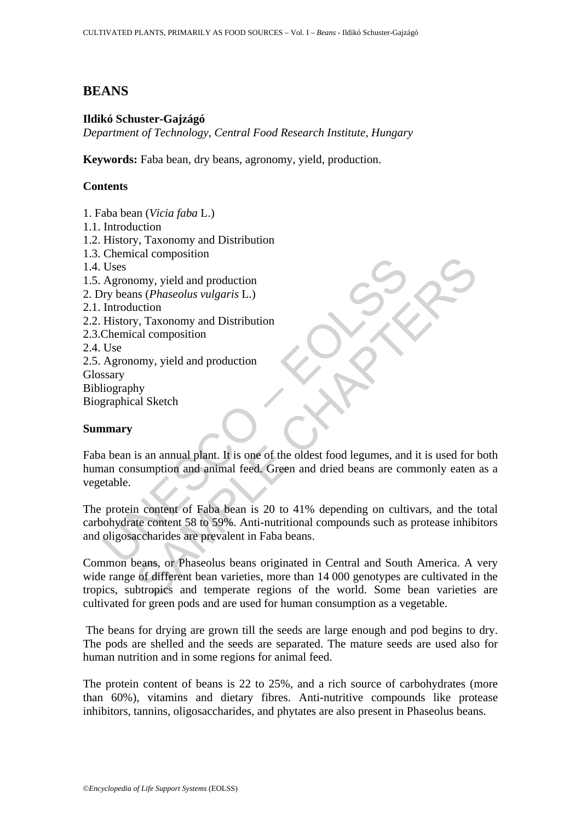# **BEANS**

# **Ildikó Schuster-Gajzágó**

*Department of Technology, Central Food Research Institute, Hungary*

**Keywords:** Faba bean, dry beans, agronomy, yield, production.

# **Contents**

- 1. Faba bean (*Vicia faba* L.) 1.1. Introduction
- 1.2. History, Taxonomy and Distribution
- 1.3. Chemical composition
- 1.4. Uses
- 1.5. Agronomy, yield and production
- 2. Dry beans (*Phaseolus vulgaris* L.)
- 2.1. Introduction
- 2.2. History, Taxonomy and Distribution
- 2.3.Chemical composition
- 2.4. Use

2.5. Agronomy, yield and production Glossary Bibliography

Biographical Sketch

### **Summary**

Uses<br>Uses<br>Agronomy, yield and production<br>Try beans (*Phaseolus vulgaris* L.)<br>Introduction<br>History, Taxonomy and Distribution<br>History, Taxonomy and Distribution<br>Use<br>Agronomy, yield and production<br>Saray<br>Usex<br>Agronomy, yield Faba bean is an annual plant. It is one of the oldest food legumes, and it is used for both human consumption and animal feed. Green and dried beans are commonly eaten as a vegetable.

The protein content of Faba bean is 20 to 41% depending on cultivars, and the total carbohydrate content 58 to 59%. Anti-nutritional compounds such as protease inhibitors and oligosaccharides are prevalent in Faba beans.

Calcion<br>
Samply, yield and production<br>
Samply, Taxonomy and Distribution<br>
Samply, Taxonomy and Distribution<br>
Samply, yield and production<br>
Samply and Sketch<br>
Samply and Sketch<br>
Samply and Sketch<br>
Samply and Sketch<br>
Samply Common beans, or Phaseolus beans originated in Central and South America. A very wide range of different bean varieties, more than 14 000 genotypes are cultivated in the tropics, subtropics and temperate regions of the world. Some bean varieties are cultivated for green pods and are used for human consumption as a vegetable.

 The beans for drying are grown till the seeds are large enough and pod begins to dry. The pods are shelled and the seeds are separated. The mature seeds are used also for human nutrition and in some regions for animal feed.

The protein content of beans is 22 to 25%, and a rich source of carbohydrates (more than 60%), vitamins and dietary fibres. Anti-nutritive compounds like protease inhibitors, tannins, oligosaccharides, and phytates are also present in Phaseolus beans.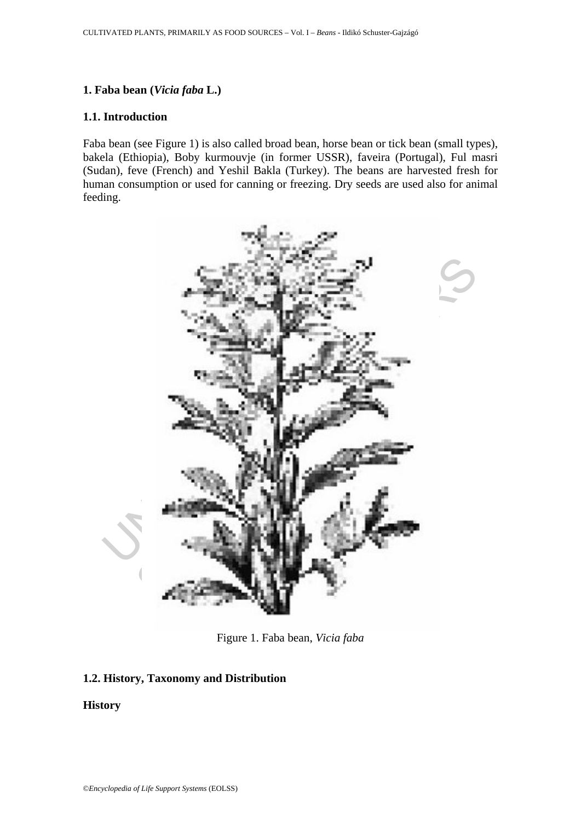# **1. Faba bean (***Vicia faba* **L.)**

#### **1.1. Introduction**

Faba bean (see Figure 1) is also called broad bean, horse bean or tick bean (small types), bakela (Ethiopia), Boby kurmouvje (in former USSR), faveira (Portugal), Ful masri (Sudan), feve (French) and Yeshil Bakla (Turkey). The beans are harvested fresh for human consumption or used for canning or freezing. Dry seeds are used also for animal feeding.



Figure 1. Faba bean, *Vicia faba*

### **1.2. History, Taxonomy and Distribution**

### **History**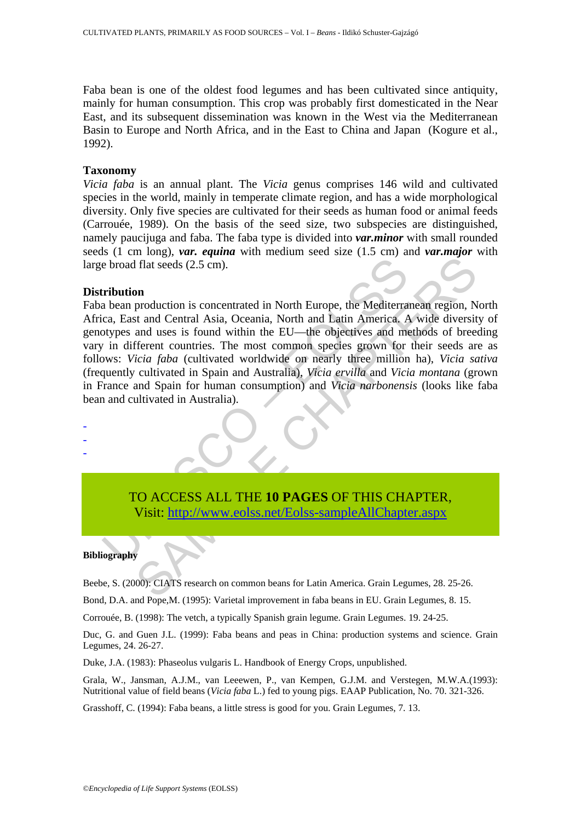Faba bean is one of the oldest food legumes and has been cultivated since antiquity, mainly for human consumption. This crop was probably first domesticated in the Near East, and its subsequent dissemination was known in the West via the Mediterranean Basin to Europe and North Africa, and in the East to China and Japan (Kogure et al., 1992).

#### **Taxonomy**

*Vicia faba* is an annual plant. The *Vicia* genus comprises 146 wild and cultivated species in the world, mainly in temperate climate region, and has a wide morphological diversity. Only five species are cultivated for their seeds as human food or animal feeds (Carrouée, 1989). On the basis of the seed size, two subspecies are distinguished, namely paucijuga and faba. The faba type is divided into *var.minor* with small rounded seeds (1 cm long), *var. equina* with medium seed size (1.5 cm) and *var.major* with large broad flat seeds (2.5 cm).

#### **Distribution**

e broad flat seeds (2.5 cm).<br>
Iribution<br>
a bean production is concentrated in North Europe, the Mediterra<br>
cca, East and Central Asia, Oceania, North and Latin America. A<br>
ctypes and uses is found within the EU—the objecti For the Mediterraneae CALIFOR CHAPTER,<br>
SA[MPL](https://www.eolss.net/ebooklib/sc_cart.aspx?File=E5-02-02-02)E CHAPTER, SCIENCIA TREAT SERVICES AND CONDUCT TREAT SERVICE SAMPLE CHAPTER CHAPTER CHAPTER THE MONOROLOGY CHAPTER (SOFTER THE MONOROLOGY CHAPTER CHAPTER CHAPTER CHAPTER CHAPTER Faba bean production is concentrated in North Europe, the Mediterranean region, North Africa, East and Central Asia, Oceania, North and Latin America. A wide diversity of genotypes and uses is found within the EU—the objectives and methods of breeding vary in different countries. The most common species grown for their seeds are as follows: *Vicia faba* (cultivated worldwide on nearly three million ha), *Vicia sativa* (frequently cultivated in Spain and Australia), *Vicia ervilla* and *Vicia montana* (grown in France and Spain for human consumption) and *Vicia narbonensis* (looks like faba bean and cultivated in Australia).



#### **Bibliography**

- - -

Beebe, S. (2000): CIATS research on common beans for Latin America. Grain Legumes, 28. 25-26.

Bond, D.A. and Pope,M. (1995): Varietal improvement in faba beans in EU. Grain Legumes, 8. 15.

Corrouée, B. (1998): The vetch, a typically Spanish grain legume. Grain Legumes. 19. 24-25.

Duc, G. and Guen J.L. (1999): Faba beans and peas in China: production systems and science. Grain Legumes, 24. 26-27.

Duke, J.A. (1983): Phaseolus vulgaris L. Handbook of Energy Crops, unpublished.

Grala, W., Jansman, A.J.M., van Leeewen, P., van Kempen, G.J.M. and Verstegen, M.W.A.(1993): Nutritional value of field beans (*Vicia faba* L.) fed to young pigs. EAAP Publication, No. 70. 321-326.

Grasshoff, C. (1994): Faba beans, a little stress is good for you. Grain Legumes, 7. 13.